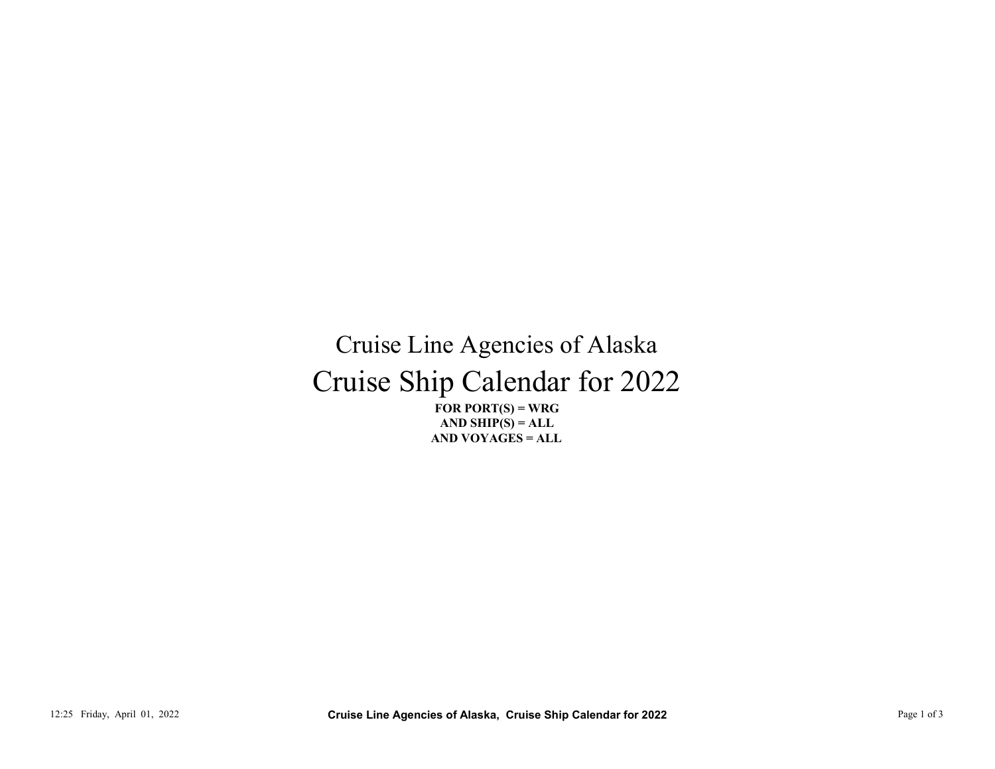## Cruise Ship Calendar for 2022 Cruise Line Agencies of Alaska 12:25 Friday, April 01, 2022<br>
12:25 Friday, April 01, 2022<br>
21:25 Friday, April 01, 2022<br>
21:25 Friday, April 01, 2022<br>
21:25 Friday, April 01, 2022<br>
21:25 Friday, April 01, 2022<br>
21:25 Friday, April 01, 2022<br>
22:35 Frida

FOR PORT $(S)$  = WRG AND VOYAGES = ALL AND SHIP $(S) = ALL$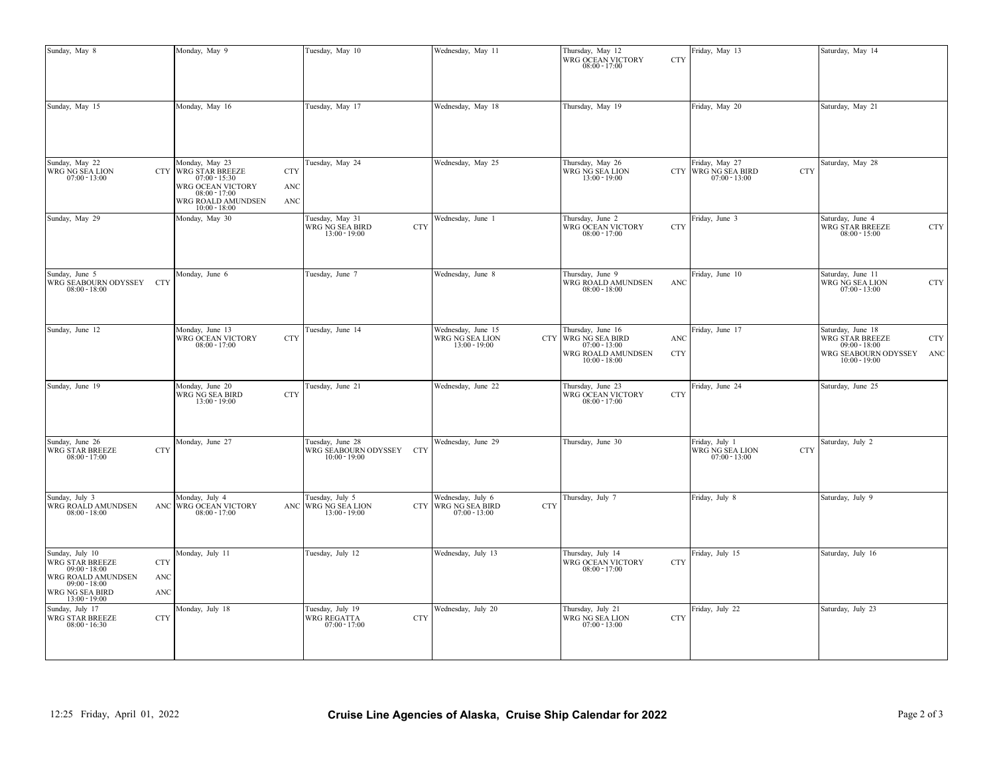| Sunday, May 8                                                                                                                                                                                         | Monday, May 9                                                                                                                 |                          | Tuesday, May 10                                                 | Wednesday, May 11                                                                                                                        |            | Thursday, May 12<br>WRG OCEAN VICTORY $08.00$ - $17.00\,$                                                                                                        | <b>CTY</b>        | Friday, May 13                                                         | Saturday, May 14                                                                                                  |
|-------------------------------------------------------------------------------------------------------------------------------------------------------------------------------------------------------|-------------------------------------------------------------------------------------------------------------------------------|--------------------------|-----------------------------------------------------------------|------------------------------------------------------------------------------------------------------------------------------------------|------------|------------------------------------------------------------------------------------------------------------------------------------------------------------------|-------------------|------------------------------------------------------------------------|-------------------------------------------------------------------------------------------------------------------|
| Sunday, May 15                                                                                                                                                                                        | Monday, May 16                                                                                                                |                          | Tuesday, May 17                                                 | Wednesday, May 18                                                                                                                        |            | Thursday, May 19                                                                                                                                                 |                   | Friday, May 20                                                         | Saturday, May 21                                                                                                  |
|                                                                                                                                                                                                       |                                                                                                                               |                          |                                                                 |                                                                                                                                          |            |                                                                                                                                                                  |                   |                                                                        |                                                                                                                   |
| Sunday, May 22<br>WRG NG SEA LION $07:00$ - $13:00$                                                                                                                                                   | Monday, May 23<br><b>CTY WRG STAR BREEZE</b><br>$07:00 - 15:30$<br>WRG OCEAN VICTORY<br>$08:00 - 17:00$<br>WRG ROALD AMUNDSEN | <b>CTY</b><br>ANC<br>ANC | Tuesday, May 24                                                 | Wednesday, May 25                                                                                                                        |            | Thursday, May 26<br>WRG NG SEA LION $13:00$ - $19:00\,$                                                                                                          |                   | Friday, May 27<br>CTY WRG NG SEA BIRD<br><b>CTY</b><br>$07:00 - 13:00$ | Saturday, May 28                                                                                                  |
| Sunday, May 29                                                                                                                                                                                        | $10:00 - 18:00$<br>Monday, May 30                                                                                             |                          | Tuesday, May 31<br>WRG NG SEA BIRD $13:00$ - $19:00$            | Wednesday, June 1<br><b>CTY</b>                                                                                                          |            | Thursday, June 2<br>WRG OCEAN VICTORY $08\mathord{:}00$ - $17\mathord{:}00$                                                                                      | CTY               | Friday, June 3                                                         | Saturday, June 4<br>WRG STAR BREEZE $08:00 - 15:00$<br><b>CTY</b>                                                 |
| Sunday, June 5<br>WRG SEABOURN ODYSSEY CTY<br>$08:00 - 18:00$                                                                                                                                         | Monday, June 6                                                                                                                |                          | Tuesday, June 7                                                 | Wednesday, June 8                                                                                                                        |            | Thursday, June 9<br>WRG ROALD AMUNDSEN $08:00$ - $18:00$                                                                                                         | ANC               | Friday, June 10                                                        | Saturday, June 11<br>WRG NG SEA LION $07:00$ - $13:00$<br><b>CTY</b>                                              |
| Sunday, June 12                                                                                                                                                                                       | Monday, June 13<br>WRG OCEAN VICTORY $08.00$ - $17.00$                                                                        | <b>CTY</b>               | Tuesday, June 14                                                | Wednesday, June 15<br>WRG NG SEA LION<br>13:00 - 19:00                                                                                   |            | $\begin{tabular}{c c} Thursday, June 16 \\ \hline CTY \\ \hline WRG NG SEA BIRD \\ \hline 07:00-13:00 \\ \end{tabular}$<br>WRG ROALD AMUNDSEN<br>$10:00 - 18:00$ | ANC<br><b>CTY</b> | Friday, June 17                                                        | Saturday, June 18<br>WRG STAR BREEZE $09:00 - 18:00$<br><b>CTY</b><br>WRG SEABOURN ODYSSEY ANC<br>$10:00 - 19:00$ |
| Sunday, June 19                                                                                                                                                                                       | Monday, June 20<br>WRG NG SEA BIRD<br>13:00 - 19:00                                                                           | <b>CTY</b>               | Tuesday, June 21                                                | Wednesday, June 22                                                                                                                       |            | Thursday, June 23<br>WRG OCEAN VICTORY $08:00$ - $17:00$                                                                                                         | <b>CTY</b>        | Friday, June 24                                                        | Saturday, June 25                                                                                                 |
| Sunday, June 26<br><b>WRG STAR BREEZE</b><br>$08:00 - 17:00$                                                                                                                                          | Monday, June 27<br><b>CTY</b>                                                                                                 |                          | Tuesday, June 28<br>WRG SEABOURN ODYSSEY CTY<br>$10:00 - 19:00$ | Wednesday, June 29                                                                                                                       |            | Thursday, June 30                                                                                                                                                |                   | Friday, July 1<br>WRG NG SEA LION<br><b>CTY</b><br>$07:00 - 13:00$     | Saturday, July 2                                                                                                  |
| Sunday, July 3<br>WRG ROALD AMUNDSEN<br>$08:00 - 18:00$                                                                                                                                               | Monday, July 4<br>ANC WRG OCEAN VICTORY<br>$08:00 - 17:00$                                                                    |                          | Tuesday, July 5<br>ANC WRG NG SEA LION<br>$13:00 - 19:00$       | Wednesday, July 6<br>$\begin{tabular}{ c c c } \hline \text{CTY} & \text{WRG NG SEA BIRD} \\ \hline 07:00-13:00 \\ \hline \end{tabular}$ | <b>CTY</b> | Thursday, July 7                                                                                                                                                 |                   | Friday, July 8                                                         | Saturday, July 9                                                                                                  |
| Sunday, July 10<br>$\begin{array}{c} \text{WRG}\overline{\text{STAR}}\ \text{BREEZE}\\ \text{09:00 - 18:00} \end{array}$<br>WRG ROALD AMUNDSEN<br>$09:00 - 18:00$<br>WRG NG SEA BIRD<br>13:00 - 19:00 | Monday, July 11<br>CTY<br>ANC<br>ANC                                                                                          |                          | Tuesday, July 12                                                | Wednesday, July 13                                                                                                                       |            | Thursday, July 14<br>WRG OCEAN VICTORY $08\mathord{.}00$ - $17\mathord{.}00$                                                                                     | CTY               | Friday, July 15                                                        | Saturday, July 16                                                                                                 |
| Sunday, July 17<br>WRG STAR BREEZE $08:00$ - $16:30$                                                                                                                                                  | Monday, July 18<br><b>CTY</b>                                                                                                 |                          | Tuesday, July 19<br>WRG REGATTA $07:00$ - $17:00$               | Wednesday, July 20<br><b>CTY</b>                                                                                                         |            | Thursday, July 21<br>WRG NG SEA LION $07:00 - 13:00$                                                                                                             | <b>CTY</b>        | Friday, July 22                                                        | Saturday, July 23                                                                                                 |
|                                                                                                                                                                                                       |                                                                                                                               |                          |                                                                 |                                                                                                                                          |            |                                                                                                                                                                  |                   |                                                                        |                                                                                                                   |
| 12:25 Friday, April 01, 2022                                                                                                                                                                          |                                                                                                                               |                          |                                                                 | Cruise Line Agencies of Alaska, Cruise Ship Calendar for 2022                                                                            |            |                                                                                                                                                                  |                   |                                                                        | Page 2 of 3                                                                                                       |
|                                                                                                                                                                                                       |                                                                                                                               |                          |                                                                 |                                                                                                                                          |            |                                                                                                                                                                  |                   |                                                                        |                                                                                                                   |